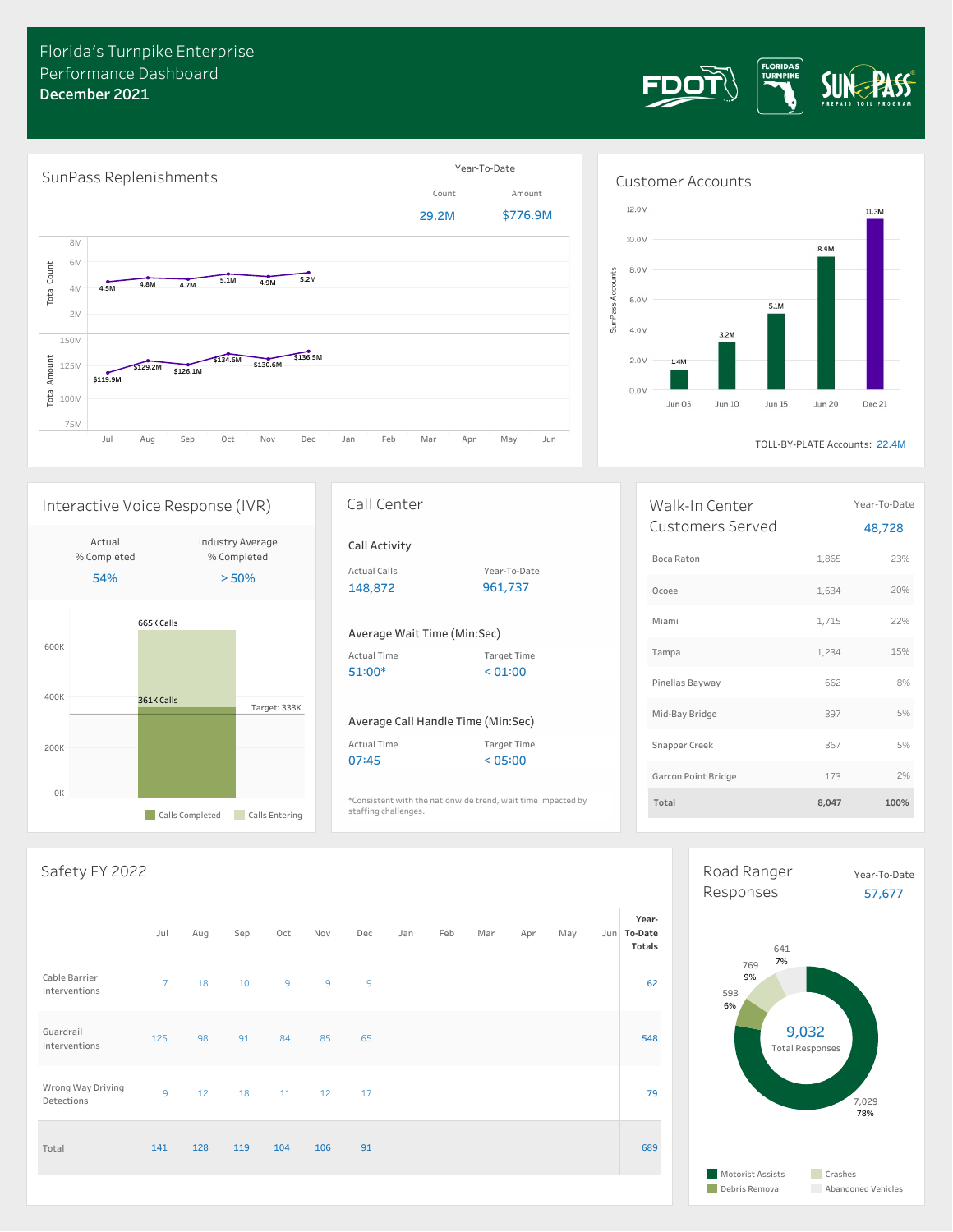





Jun 15

Jun 05

Jun 10

TOLL-BY-PLATE Accounts: 22.4M

Jun 20

**Dec 21** 

| Walk-In Center<br>Customers Served |       | Year-To-Date<br>48,728 |
|------------------------------------|-------|------------------------|
| Boca Raton                         | 1.865 | 23%                    |
| Ocoee                              | 1,634 | 20%                    |
| Miami                              | 1.715 | 22%                    |
| Tampa                              | 1.234 | 15%                    |
| Pinellas Bayway                    | 662   | 8%                     |
| Mid-Bay Bridge                     | 397   | 5%                     |
| Snapper Creek                      | 367   | 5%                     |
| Garcon Point Bridge                | 173   | 7%                     |
| Total                              | 8,047 | 100%                   |

### Safety FY 2022

0K

200K

400K

600K

665K Calls

Actual % Completed 54%

361K Calls

**Calls Completed** Calls Entering

|                                 | Jul            | Aug | Sep | Oct            | Nov            | Dec            | Jan | Feb | Mar | Apr | May | Year-<br>Jun To-Date<br>Totals |
|---------------------------------|----------------|-----|-----|----------------|----------------|----------------|-----|-----|-----|-----|-----|--------------------------------|
| Cable Barrier<br>Interventions  | $7^{\circ}$    | 18  | 10  | $\overline{9}$ | $\overline{9}$ | $\overline{9}$ |     |     |     |     |     | 62                             |
| Guardrail<br>Interventions      | 125            | 98  | 91  | 84             | 85             | 65             |     |     |     |     |     | 548                            |
| Wrong Way Driving<br>Detections | $\overline{9}$ | 12  | 18  | 11             | 12             | 17             |     |     |     |     |     | 79                             |
| Total                           | 141            | 128 | 119 | 104            | 106            | 91             |     |     |     |     |     | 689                            |



# Interactive Voice Response (IVR)

| Industry Average<br>% Completed<br>> 50% | Call Activity<br><b>Actual Calls</b><br>148,872 | Year-To-Date<br>961,737                                  |
|------------------------------------------|-------------------------------------------------|----------------------------------------------------------|
|                                          | Average Wait Time (Min:Sec)                     |                                                          |
|                                          | Actual Time<br>$51:00*$                         | <b>Target Time</b><br>< 01:00                            |
| Target: 333K                             | <b>Actual Time</b>                              | Average Call Handle Time (Min:Sec)<br><b>Target Time</b> |

\*Consistent with the nationwide trend, wait time impacted by **Total 8,047 100%** staffing challenges.

## Time (Min:Sec)

Call Center

Year-To-Date 961,737

# Min:Sec)

07:45 < 05:00